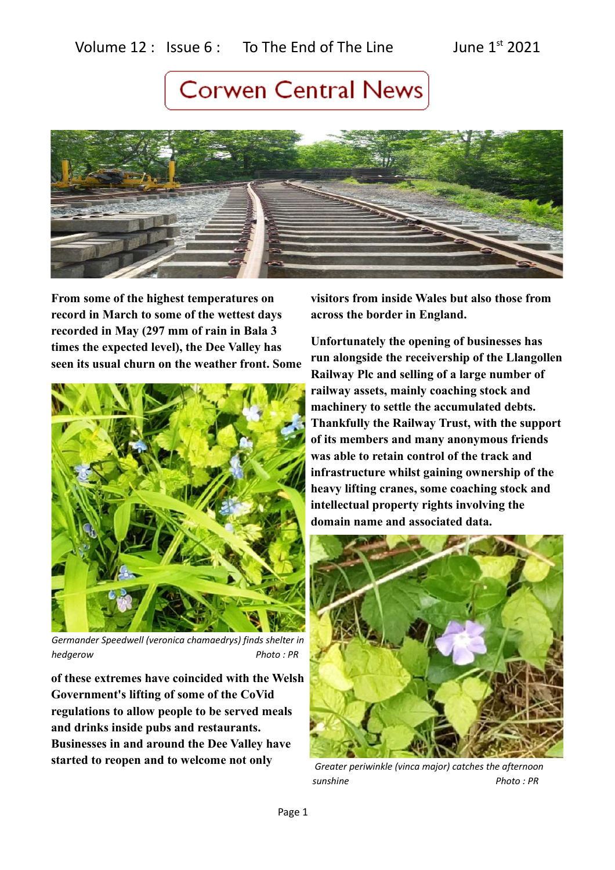### Volume  $12$  : Issue 6 : To The End of The Line June  $1^{st}$  2021

# **Corwen Central News**



**From some of the highest temperatures on record in March to some of the wettest days recorded in May (297 mm of rain in Bala 3 times the expected level), the Dee Valley has seen its usual churn on the weather front. Some**



*Germander Speedwell (veronica chamaedrys) finds shelter in hedgerow Photo : PR*

**of these extremes have coincided with the Welsh Government's lifting of some of the CoVid regulations to allow people to be served meals and drinks inside pubs and restaurants. Businesses in and around the Dee Valley have started to reopen and to welcome not only** 

**visitors from inside Wales but also those from across the border in England.** 

**Unfortunately the opening of businesses has run alongside the receivership of the Llangollen Railway Plc and selling of a large number of railway assets, mainly coaching stock and machinery to settle the accumulated debts. Thankfully the Railway Trust, with the support of its members and many anonymous friends was able to retain control of the track and infrastructure whilst gaining ownership of the heavy lifting cranes, some coaching stock and intellectual property rights involving the domain name and associated data.**



 *Greater periwinkle (vinca major) catches the afternoon sunshine Photo : PR*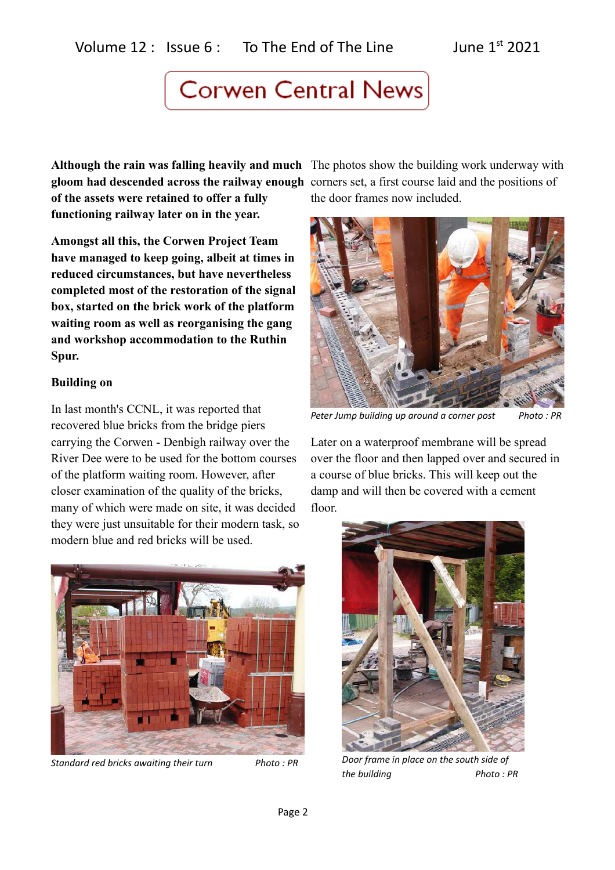**Although the rain was falling heavily and much** The photos show the building work underway with **gloom had descended across the railway enough** corners set, a first course laid and the positions of **of the assets were retained to offer a fully functioning railway later on in the year.**

**Amongst all this, the Corwen Project Team have managed to keep going, albeit at times in reduced circumstances, but have nevertheless completed most of the restoration of the signal box, started on the brick work of the platform waiting room as well as reorganising the gang and workshop accommodation to the Ruthin Spur.**

#### **Building on**

In last month's CCNL, it was reported that recovered blue bricks from the bridge piers carrying the Corwen - Denbigh railway over the River Dee were to be used for the bottom courses of the platform waiting room. However, after closer examination of the quality of the bricks, many of which were made on site, it was decided they were just unsuitable for their modern task, so modern blue and red bricks will be used.



*Standard red bricks awaiting their turn Photo : PR*

the door frames now included.



Peter Jump building up around a corner post Photo : PR

Later on a waterproof membrane will be spread over the floor and then lapped over and secured in a course of blue bricks. This will keep out the damp and will then be covered with a cement floor.



*Door frame in place on the south side of the building* Photo: PR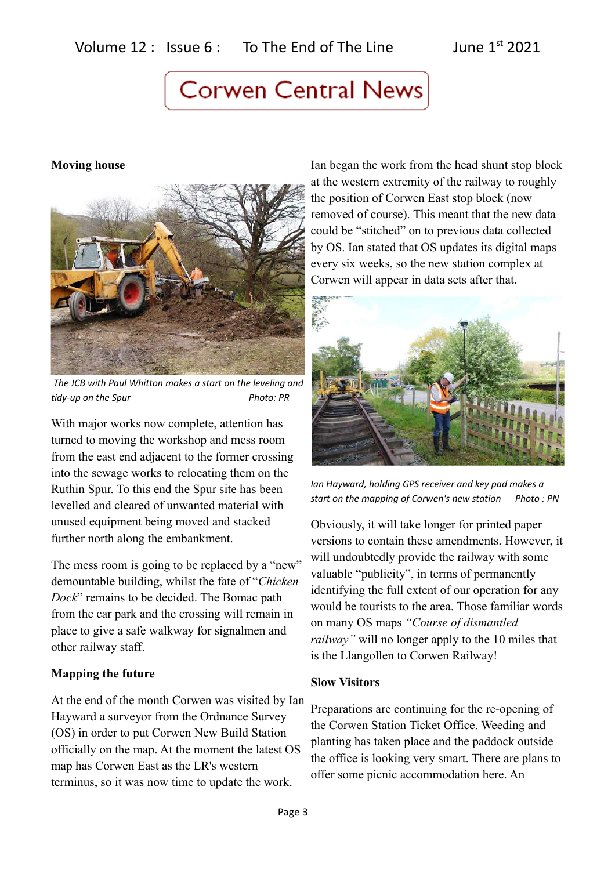#### **Moving house**



 *The JCB with Paul Whitton makes a start on the leveling and tidy-up on the Spur* Photo: PR

With major works now complete, attention has turned to moving the workshop and mess room from the east end adjacent to the former crossing into the sewage works to relocating them on the Ruthin Spur. To this end the Spur site has been levelled and cleared of unwanted material with unused equipment being moved and stacked further north along the embankment.

The mess room is going to be replaced by a "new" demountable building, whilst the fate of "*Chicken Dock*" remains to be decided. The Bomac path from the car park and the crossing will remain in place to give a safe walkway for signalmen and other railway staff.

#### **Mapping the future**

At the end of the month Corwen was visited by Ian Hayward a surveyor from the Ordnance Survey (OS) in order to put Corwen New Build Station officially on the map. At the moment the latest OS map has Corwen East as the LR's western terminus, so it was now time to update the work.

Ian began the work from the head shunt stop block at the western extremity of the railway to roughly the position of Corwen East stop block (now removed of course). This meant that the new data could be "stitched" on to previous data collected by OS. Ian stated that OS updates its digital maps every six weeks, so the new station complex at Corwen will appear in data sets after that.



*Ian Hayward, holding GPS receiver and key pad makes a start on the mapping of Corwen's new station Photo : PN*

Obviously, it will take longer for printed paper versions to contain these amendments. However, it will undoubtedly provide the railway with some valuable "publicity", in terms of permanently identifying the full extent of our operation for any would be tourists to the area. Those familiar words on many OS maps *"Course of dismantled railway"* will no longer apply to the 10 miles that is the Llangollen to Corwen Railway!

#### **Slow Visitors**

Preparations are continuing for the re-opening of the Corwen Station Ticket Office. Weeding and planting has taken place and the paddock outside the office is looking very smart. There are plans to offer some picnic accommodation here. An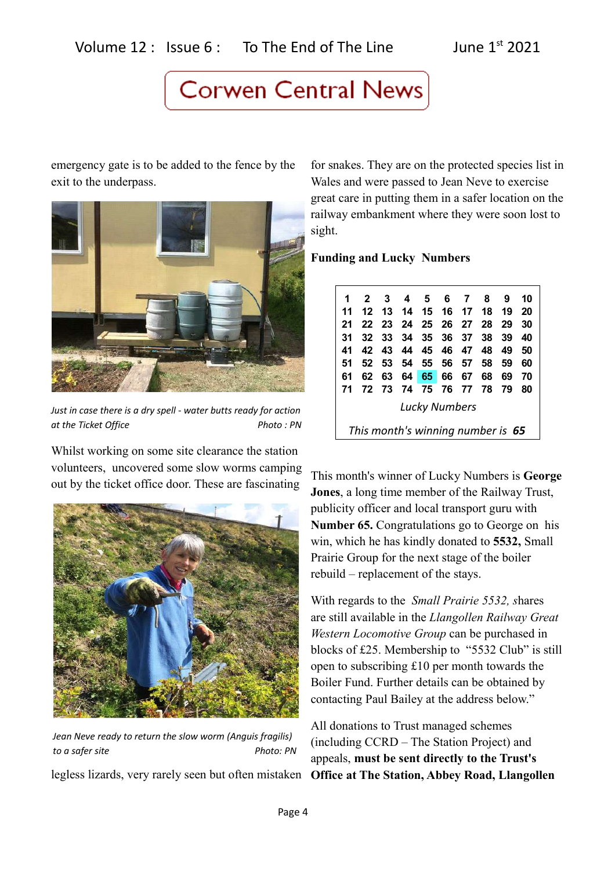emergency gate is to be added to the fence by the exit to the underpass.



*Just in case there is a dry spell - water butts ready for action at the Ticket Office Photo : PN* 

Whilst working on some site clearance the station volunteers, uncovered some slow worms camping out by the ticket office door. These are fascinating



*Jean Neve ready to return the slow worm (Anguis fragilis) to a safer site* Photo: PN

legless lizards, very rarely seen but often mistaken

for snakes. They are on the protected species list in Wales and were passed to Jean Neve to exercise great care in putting them in a safer location on the railway embankment where they were soon lost to sight.

**Funding and Lucky Numbers**

|               | $\mathbf{2}$                      | 3     | 4                 | 56       |       | $\overline{7}$ | 8    | 9   | 10 |  |
|---------------|-----------------------------------|-------|-------------------|----------|-------|----------------|------|-----|----|--|
| 11            | 12                                | 13 14 |                   | 15 16 17 |       |                | - 18 | 19  | 20 |  |
| 21            |                                   | 22 23 | - 24              |          |       | 25 26 27       | -28  | -29 | 30 |  |
| 31            | 32                                |       | 33 34             |          |       | 35 36 37       | 38   | 39  | 40 |  |
| 41            |                                   |       | 42 43 44 45 46 47 |          |       |                | 48   | 49  | 50 |  |
| 51            | 52                                | 53.   | - 54              | 55 56 57 |       |                | 58   | -59 | 60 |  |
| 61            | 62                                | 63    | 64                |          | 65 66 | 67             | 68   | 69  | 70 |  |
| 71            | 72                                | 73    | - 74              | - 75     |       | 76 77 78       |      | 79  | 80 |  |
| Lucky Numbers |                                   |       |                   |          |       |                |      |     |    |  |
|               | This month's winning number is 65 |       |                   |          |       |                |      |     |    |  |

This month's winner of Lucky Numbers is **George Jones**, a long time member of the Railway Trust, publicity officer and local transport guru with **Number 65.** Congratulations go to George on his win, which he has kindly donated to **5532,** Small Prairie Group for the next stage of the boiler rebuild – replacement of the stays.

With regards to the *Small Prairie 5532, s*hares are still available in the *Llangollen Railway Great Western Locomotive Group* can be purchased in blocks of £25. Membership to "5532 Club" is still open to subscribing £10 per month towards the Boiler Fund. Further details can be obtained by contacting Paul Bailey at the address below."

All donations to Trust managed schemes (including CCRD – The Station Project) and appeals, **must be sent directly to the Trust's Office at The Station, Abbey Road, Llangollen**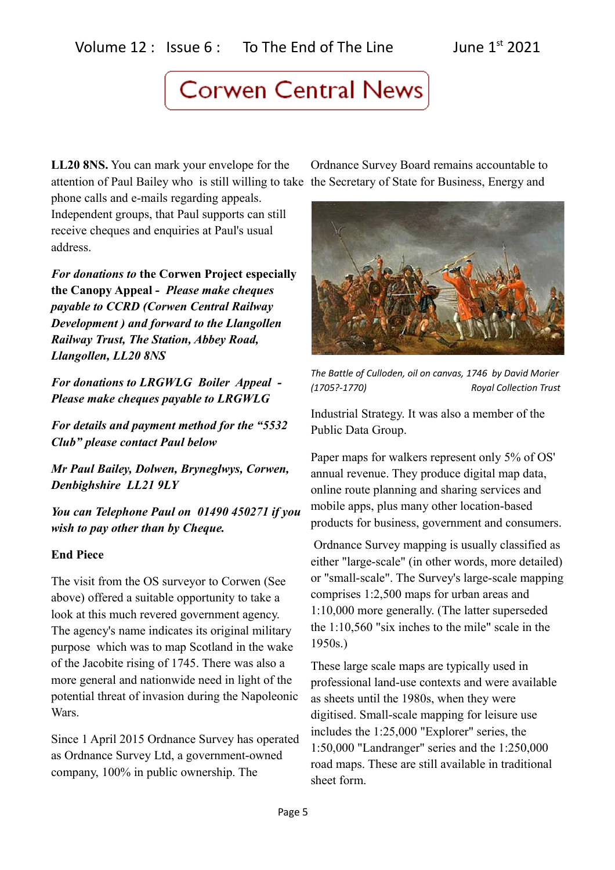**LL20 8NS.** You can mark your envelope for the attention of Paul Bailey who is still willing to take the Secretary of State for Business, Energy and

phone calls and e-mails regarding appeals. Independent groups, that Paul supports can still receive cheques and enquiries at Paul's usual address.

*For donations to* **the Corwen Project especially the Canopy Appeal -** *Please make cheques payable to CCRD (Corwen Central Railway Development ) and forward to the Llangollen Railway Trust, The Station, Abbey Road, Llangollen, LL20 8NS*

*For donations to LRGWLG Boiler Appeal - Please make cheques payable to LRGWLG* 

*For details and payment method for the "5532 Club" please contact Paul below*

*Mr Paul Bailey, Dolwen, Bryneglwys, Corwen, Denbighshire LL21 9LY* 

*You can Telephone Paul on 01490 450271 if you wish to pay other than by Cheque.*

#### **End Piece**

The visit from the OS surveyor to Corwen (See above) offered a suitable opportunity to take a look at this much revered government agency. The agency's name indicates its original military purpose which was to map Scotland in the wake of the Jacobite rising of 1745. There was also a more general and nationwide need in light of the potential threat of invasion during the Napoleonic Wars.

Since 1 April 2015 Ordnance Survey has operated as Ordnance Survey Ltd, a government-owned company, 100% in public ownership. The

Ordnance Survey Board remains accountable to



*The Battle of Culloden, oil on canvas, 1746 by David Morier (1705?-1770) Royal Collection Trust* 

Industrial Strategy. It was also a member of the Public Data Group.

Paper maps for walkers represent only 5% of OS' annual revenue. They produce digital map data, online route planning and sharing services and mobile apps, plus many other location-based products for business, government and consumers.

 Ordnance Survey mapping is usually classified as either "large-scale" (in other words, more detailed) or "small-scale". The Survey's large-scale mapping comprises 1:2,500 maps for urban areas and 1:10,000 more generally. (The latter superseded the 1:10,560 "six inches to the mile" scale in the 1950s.)

These large scale maps are typically used in professional land-use contexts and were available as sheets until the 1980s, when they were digitised. Small-scale mapping for leisure use includes the 1:25,000 "Explorer" series, the 1:50,000 "Landranger" series and the 1:250,000 road maps. These are still available in traditional sheet form.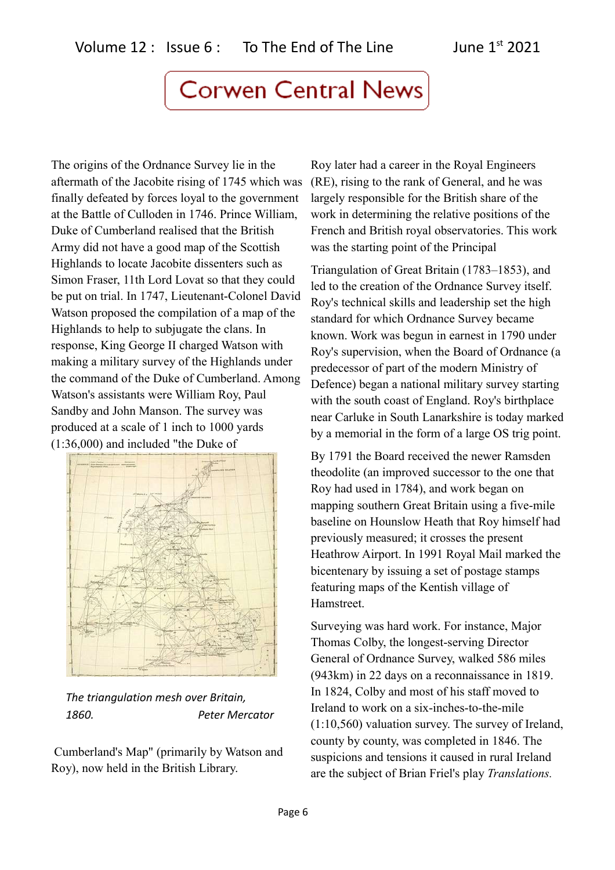The origins of the Ordnance Survey lie in the aftermath of the Jacobite rising of 1745 which was finally defeated by forces loyal to the government at the Battle of Culloden in 1746. Prince William, Duke of Cumberland realised that the British Army did not have a good map of the Scottish Highlands to locate Jacobite dissenters such as Simon Fraser, 11th Lord Lovat so that they could be put on trial. In 1747, Lieutenant-Colonel David Watson proposed the compilation of a map of the Highlands to help to subjugate the clans. In response, King George II charged Watson with making a military survey of the Highlands under the command of the Duke of Cumberland. Among Watson's assistants were William Roy, Paul Sandby and John Manson. The survey was produced at a scale of 1 inch to 1000 yards (1:36,000) and included "the Duke of



*The triangulation mesh over Britain, 1860. Peter Mercator*

 Cumberland's Map" (primarily by Watson and Roy), now held in the British Library.

Roy later had a career in the Royal Engineers (RE), rising to the rank of General, and he was largely responsible for the British share of the work in determining the relative positions of the French and British royal observatories. This work was the starting point of the Principal

Triangulation of Great Britain (1783–1853), and led to the creation of the Ordnance Survey itself. Roy's technical skills and leadership set the high standard for which Ordnance Survey became known. Work was begun in earnest in 1790 under Roy's supervision, when the Board of Ordnance (a predecessor of part of the modern Ministry of Defence) began a national military survey starting with the south coast of England. Roy's birthplace near Carluke in South Lanarkshire is today marked by a memorial in the form of a large OS trig point.

By 1791 the Board received the newer Ramsden theodolite (an improved successor to the one that Roy had used in 1784), and work began on mapping southern Great Britain using a five-mile baseline on Hounslow Heath that Roy himself had previously measured; it crosses the present Heathrow Airport. In 1991 Royal Mail marked the bicentenary by issuing a set of postage stamps featuring maps of the Kentish village of Hamstreet.

Surveying was hard work. For instance, Major Thomas Colby, the longest-serving Director General of Ordnance Survey, walked 586 miles (943km) in 22 days on a reconnaissance in 1819. In 1824, Colby and most of his staff moved to Ireland to work on a six-inches-to-the-mile (1:10,560) valuation survey. The survey of Ireland, county by county, was completed in 1846. The suspicions and tensions it caused in rural Ireland are the subject of Brian Friel's play *Translations.*